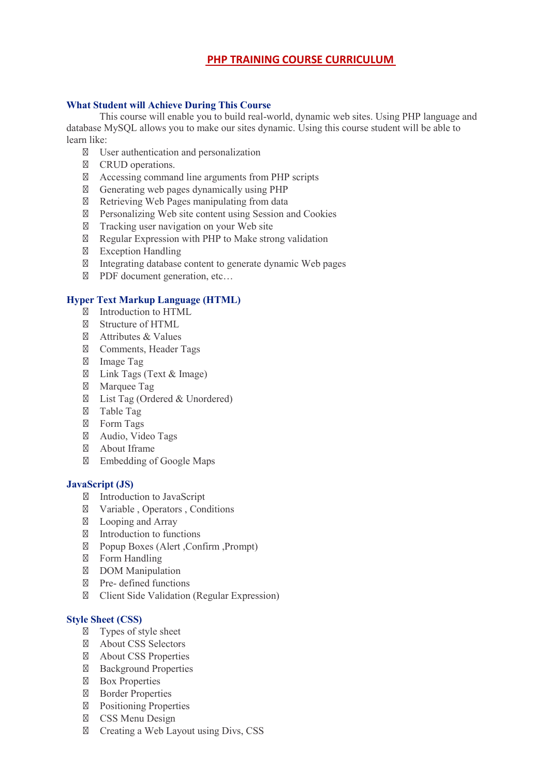# **PHP TRAINING COURSE CURRICULUM**

## **What Student will Achieve During This Course**

This course will enable you to build real-world, dynamic web sites. Using PHP language and database MySQL allows you to make our sites dynamic. Using this course student will be able to learn like:

User authentication and personalization CRUD operations. Accessing command line arguments from PHP scripts Generating web pages dynamically using PHP Retrieving Web Pages manipulating from data Personalizing Web site content using Session and Cookies Tracking user navigation on your Web site Regular Expression with PHP to Make strong validation Exception Handling Integrating database content to generate dynamic Web pages PDF document generation, etc…

### **Hyper Text Markup Language (HTML)**

Introduction to HTML Structure of HTML Attributes & Values Comments, Header Tags Image Tag Link Tags (Text & Image) Marquee Tag List Tag (Ordered & Unordered) Table Tag Form Tags Audio, Video Tags About Iframe Embedding of Google Maps

#### **JavaScript (JS)**

Introduction to JavaScript Variable , Operators , Conditions Looping and Array Introduction to functions Popup Boxes (Alert ,Confirm ,Prompt) Form Handling DOM Manipulation Pre- defined functions Client Side Validation (Regular Expression)

### **Style Sheet (CSS)**

Types of style sheet About CSS Selectors About CSS Properties Background Properties Box Properties Border Properties Positioning Properties CSS Menu Design Creating a Web Layout using Divs, CSS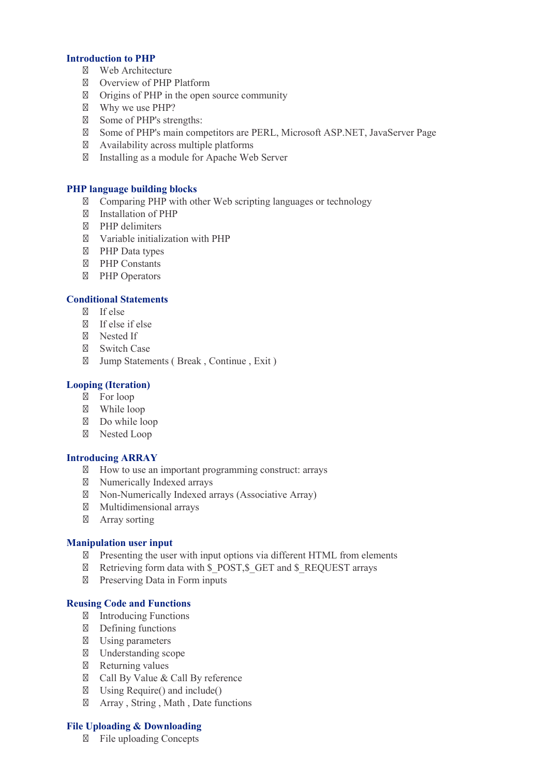# **Introduction to PHP**

Web Architecture Overview of PHP Platform Origins of PHP in the open source community Why we use PHP? Some of PHP's strengths: Some of PHP's main competitors are PERL, Microsoft ASP.NET, JavaServer Page Availability across multiple platforms Installing as a module for Apache Web Server

## **PHP language building blocks**

Comparing PHP with other Web scripting languages or technology Installation of PHP PHP delimiters Variable initialization with PHP PHP Data types PHP Constants PHP Operators

# **Conditional Statements**

If else If else if else Nested If Switch Case Jump Statements ( Break , Continue , Exit )

#### **Looping (Iteration)**

For loop While loop Do while loop Nested Loop

### **Introducing ARRAY**

How to use an important programming construct: arrays Numerically Indexed arrays Non-Numerically Indexed arrays (Associative Array) Multidimensional arrays Array sorting

### **Manipulation user input**

Presenting the user with input options via different HTML from elements Retrieving form data with \$\_POST, \$\_GET and \$\_REQUEST arrays Preserving Data in Form inputs

### **Reusing Code and Functions**

Introducing Functions Defining functions Using parameters Understanding scope Returning values Call By Value & Call By reference Using Require() and include() Array , String , Math , Date functions

## **File Uploading & Downloading**

File uploading Concepts